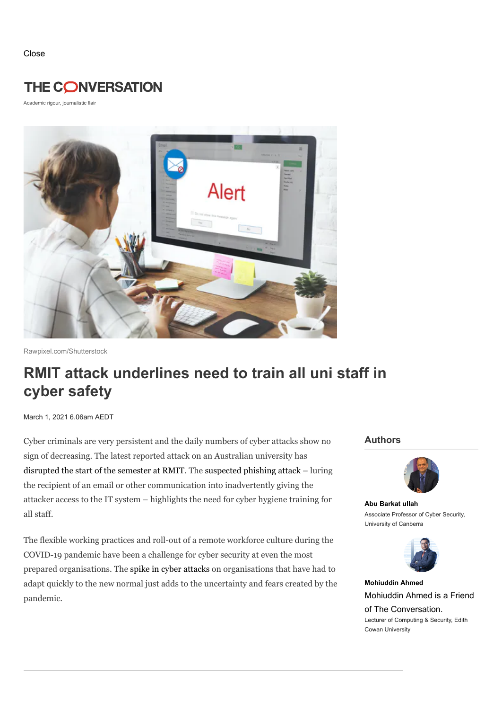Close

## **THE CONVERSATION**

Academic rigour, journalistic flair



Rawpixel.com/Shutterstock

# **RMIT attack underlines need to train all uni staff in cyber safety**

March 1, 2021 6.06am AEDT

Cyber criminals are very persistent and the daily numbers of cyber attacks show no sign of decreasing. The latest reported attack on an Australian university has [disrupted](https://www.theage.com.au/national/victoria/rmit-university-races-to-recover-from-cyber-attack-before-students-return-20210225-p575st.html) the start of the semester at RMIT. The [suspected](https://www.abc.net.au/news/2021-02-19/melbournes-rmit-university-suffers-suspected-cyber-attack/13173704) phishing attack – luring the recipient of an email or other communication into inadvertently giving the attacker access to the IT system – highlights the need for cyber hygiene training for all staff.

The flexible working practices and roll-out of a remote workforce culture during the COVID-19 pandemic have been a challenge for cyber security at even the most prepared organisations. The spike in cyber [attacks](https://www.oaic.gov.au/privacy/notifiable-data-breaches/notifiable-data-breaches-statistics/notifiable-data-breaches-report-july-december-2020/) on organisations that have had to adapt quickly to the new normal just adds to the uncertainty and fears created by the pandemic.

#### **Authors**



**Abu [Barkat](https://theconversation.com/profiles/abu-barkat-ullah-1185679) ullah** Associate Professor of Cyber Security, University of Canberra



**[Mohiuddin](https://theconversation.com/profiles/mohiuddin-ahmed-698936) Ahmed** Mohiuddin Ahmed is a Friend of The [Conversation.](https://donate.theconversation.com/au?utm_source=theconversation.com&utm_medium=website&utm_campaign=friend_of_the_conversation_badge) Lecturer of Computing & Security, Edith Cowan University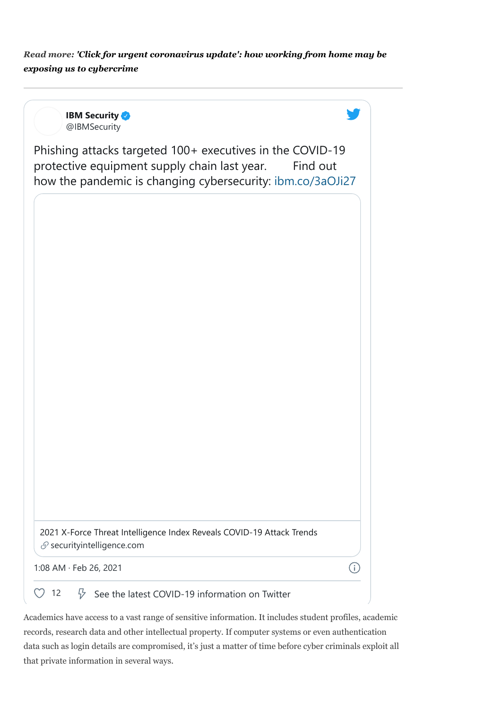*Read more: 'Click for urgent [coronavirus](https://theconversation.com/click-for-urgent-coronavirus-update-how-working-from-home-may-be-exposing-us-to-cybercrime-133778) update': how working from home may be exposing us to cybercrime*

**IBM Security** [@IBMSecurity](https://twitter.com/IBMSecurity?ref_src=twsrc%5Etfw%7Ctwcamp%5Etweetembed%7Ctwterm%5E1364940212330201088%7Ctwgr%5E%7Ctwcon%5Es1_&ref_url=https%3A%2F%2Ftheconversation.com%2Frmit-attack-underlines-need-to-train-all-uni-staff-in-cyber-safety-151845) Phishing attacks targeted 100+ executives in the COVID-19 protective equipment supply chain last year. Find out how the pandemic is changing cybersecurity: [ibm.co/3aOJi27](https://t.co/fD8eCEaKnb?amp=1) [2021 X-Force Threat Intelligence Index Reveals COVID-19 Attack Trends](https://t.co/Yg6DeMlV1A?amp=1)  $S$  security intelligence.com **①** [1:08 AM · Feb 26, 2021](https://twitter.com/IBMSecurity/status/1364940212330201088?ref_src=twsrc%5Etfw%7Ctwcamp%5Etweetembed%7Ctwterm%5E1364940212330201088%7Ctwgr%5E%7Ctwcon%5Es1_&ref_url=https%3A%2F%2Ftheconversation.com%2Frmit-attack-underlines-need-to-train-all-uni-staff-in-cyber-safety-151845)  $\heartsuit$  [12](https://twitter.com/intent/like?ref_src=twsrc%5Etfw%7Ctwcamp%5Etweetembed%7Ctwterm%5E1364940212330201088%7Ctwgr%5E%7Ctwcon%5Es1_&ref_url=https%3A%2F%2Ftheconversation.com%2Frmit-attack-underlines-need-to-train-all-uni-staff-in-cyber-safety-151845&tweet_id=1364940212330201088)  $\heartsuit$  [See the latest COVID-19 information on Twitter](https://twitter.com/explore/tabs/covid-19?ref_src=twsrc%5Etfw%7Ctwcamp%5Etweetembed%7Ctwterm%5E1364940212330201088%7Ctwgr%5E%7Ctwcon%5Es1_&ref_url=https%3A%2F%2Ftheconversation.com%2Frmit-attack-underlines-need-to-train-all-uni-staff-in-cyber-safety-151845)

Academics have access to a vast range of sensitive information. It includes student profiles, academic records, research data and other intellectual property. If computer systems or even authentication data such as login details are compromised, it's just a matter of time before cyber criminals exploit all that private information in several ways.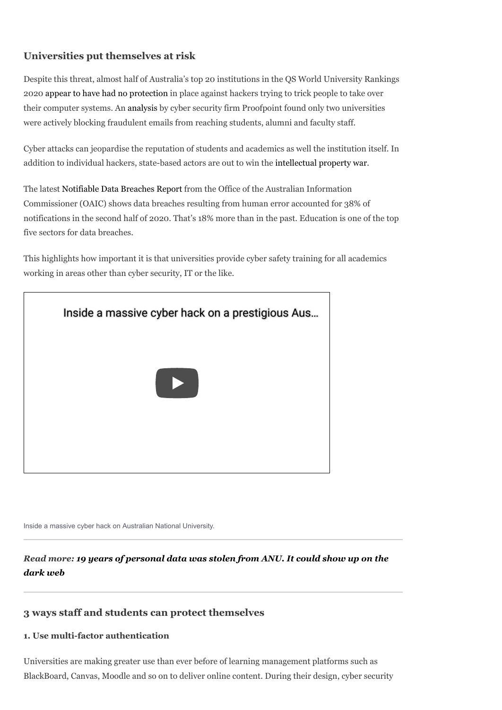### **Universities put themselves at risk**

Despite this threat, almost half of Australia's top 20 institutions in the QS World University Rankings 2020 appear to have had no [protection](https://www.smh.com.au/politics/federal/common-target-only-10-per-cent-of-australian-universities-automatically-blocking-fraudulent-emails-20210120-p56vg0.html) in place against hackers trying to trick people to take over their computer systems. An [analysis](https://www.proofpoint.com/au/corporate-blog/post/australian-university-students-and-faculty-face-increased-email-fraud-risk) by cyber security firm Proofpoint found only two universities were actively blocking fraudulent emails from reaching students, alumni and faculty staff.

Cyber attacks can jeopardise the reputation of students and academics as well the institution itself. In addition to individual hackers, state-based actors are out to win the [intellectual](https://www.theguardian.com/world/2020/nov/22/hackers-try-to-steal-covid-vaccine-secrets-in-intellectual-property-war) property war.

The latest [Notifiable](https://www.oaic.gov.au/privacy/notifiable-data-breaches/notifiable-data-breaches-statistics/notifiable-data-breaches-report-july-december-2020/) Data Breaches Report from the Office of the Australian Information Commissioner (OAIC) shows data breaches resulting from human error accounted for 38% of notifications in the second half of 2020. That's 18% more than in the past. Education is one of the top five sectors for data breaches.

This highlights how important it is that universities provide cyber safety training for all academics working in areas other than cyber security, IT or the like.



Inside a massive cyber hack on Australian National University.

*Read more: 19 years of [personal](https://theconversation.com/19-years-of-personal-data-was-stolen-from-anu-it-could-show-up-on-the-dark-web-118265) data was stolen from ANU. It could show up on the dark web*

#### **3 ways staff and students can protect themselves**

#### **1. Use multi-factor authentication**

Universities are making greater use than ever before of learning management platforms such as BlackBoard, Canvas, Moodle and so on to deliver online content. During their design, cyber security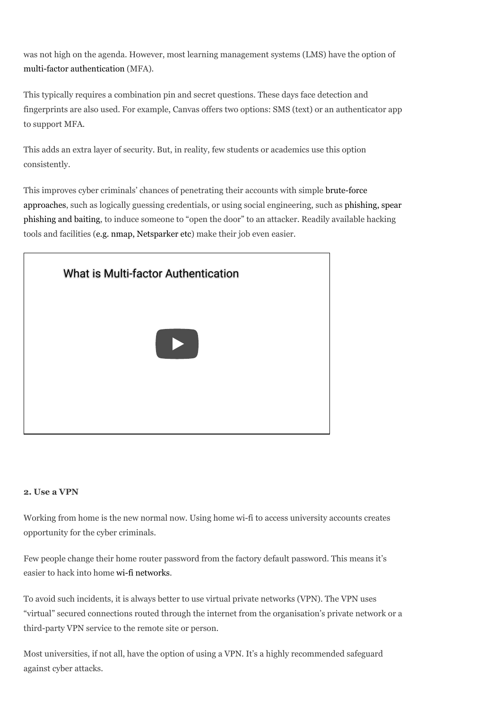was not high on the agenda. However, most learning management systems (LMS) have the option of multi-factor [authentication](https://www.cyber.gov.au/acsc/view-all-content/advice/multi-factor-authentication) (MFA).

This typically requires a combination pin and secret questions. These days face detection and fingerprints are also used. For example, Canvas offers two options: SMS (text) or an authenticator app to support MFA.

This adds an extra layer of security. But, in reality, few students or academics use this option consistently.

This improves cyber criminals' chances of penetrating their accounts with simple brute-force approaches, such as logically guessing credentials, or using social [engineering,](https://www.kaspersky.com/resource-center/definitions/brute-force-attack) such as phishing, spear phishing and baiting, to induce someone to "open the door" to an attacker. Readily available hacking tools and facilities (e.g. nmap, [Netsparker](https://www.guru99.com/learn-everything-about-ethical-hacking-tools-and-skills.html) etc) make their job even easier.



#### **2. Use a VPN**

Working from home is the new normal now. Using home wi-fi to access university accounts creates opportunity for the cyber criminals.

Few people change their home router password from the factory default password. This means it's easier to hack into home [wi-fi networks](https://au.pcmag.com/how-to/28959/how-to-hack-wi-fi-passwords).

To avoid such incidents, it is always better to use virtual private networks (VPN). The VPN uses "virtual" secured connections routed through the internet from the organisation's private network or a third-party VPN service to the remote site or person.

Most universities, if not all, have the option of using a VPN. It's a highly recommended safeguard against cyber attacks.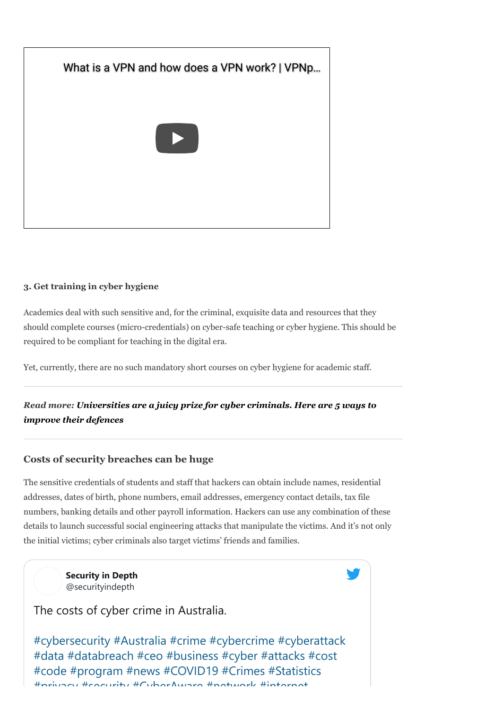

#### **3. Get training in cyber hygiene**

Academics deal with such sensitive and, for the criminal, exquisite data and resources that they should complete courses (micro-credentials) on cyber-safe teaching or cyber hygiene. This should be required to be compliant for teaching in the digital era.

Yet, currently, there are no such mandatory short courses on cyber hygiene for academic staff.

*Read more: [Universities](https://theconversation.com/universities-are-a-juicy-prize-for-cyber-criminals-here-are-5-ways-to-improve-their-defences-144859) are a juicy prize for cyber criminals. Here are 5 ways to improve their defences*

#### **Costs of security breaches can be huge**

The sensitive credentials of students and staff that hackers can obtain include names, residential addresses, dates of birth, phone numbers, email addresses, emergency contact details, tax file numbers, banking details and other payroll information. Hackers can use any combination of these details to launch successful social engineering attacks that manipulate the victims. And it's not only the initial victims; cyber criminals also target victims' friends and families.

> **[Security in Depth](https://twitter.com/securityindepth?ref_src=twsrc%5Etfw%7Ctwcamp%5Etweetembed%7Ctwterm%5E1319158226592518144%7Ctwgr%5E%7Ctwcon%5Es1_&ref_url=https%3A%2F%2Ftheconversation.com%2Frmit-attack-underlines-need-to-train-all-uni-staff-in-cyber-safety-151845)** @securityindepth

The costs of cyber crime in Australia.

[#cybersecurity](https://twitter.com/hashtag/cybersecurity?src=hashtag_click) [#Australia](https://twitter.com/hashtag/Australia?src=hashtag_click) [#crime](https://twitter.com/hashtag/crime?src=hashtag_click) [#cybercrime](https://twitter.com/hashtag/cybercrime?src=hashtag_click) [#cyberattack](https://twitter.com/hashtag/cyberattack?src=hashtag_click) [#data](https://twitter.com/hashtag/data?src=hashtag_click) [#databreach](https://twitter.com/hashtag/databreach?src=hashtag_click) [#ceo](https://twitter.com/hashtag/ceo?src=hashtag_click) [#business](https://twitter.com/hashtag/business?src=hashtag_click) [#cyber](https://twitter.com/hashtag/cyber?src=hashtag_click) [#attacks](https://twitter.com/hashtag/attacks?src=hashtag_click) [#cost](https://twitter.com/hashtag/cost?src=hashtag_click) [#code](https://twitter.com/hashtag/code?src=hashtag_click) [#program](https://twitter.com/hashtag/program?src=hashtag_click) [#news](https://twitter.com/hashtag/news?src=hashtag_click) [#COVID19](https://twitter.com/hashtag/COVID19?src=hashtag_click) [#Crimes](https://twitter.com/hashtag/Crimes?src=hashtag_click) [#Statistics](https://twitter.com/hashtag/Statistics?src=hashtag_click) [#privacy](https://twitter.com/hashtag/privacy?src=hashtag_click) [#security](https://twitter.com/hashtag/security?src=hashtag_click) [#CyberAware](https://twitter.com/hashtag/CyberAware?src=hashtag_click) [#network](https://twitter.com/hashtag/network?src=hashtag_click) [#internet](https://twitter.com/hashtag/internet?src=hashtag_click)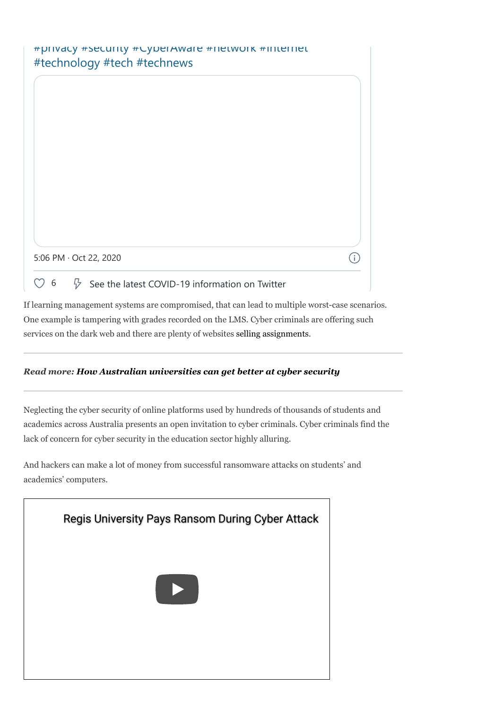If learning management systems are compromised, that can lead to multiple worst-case scenarios. One example is tampering with grades recorded on the LMS. Cyber criminals are offering such services on the dark web and there are plenty of websites selling [assignments](https://myassignmenthelp.com/buy-assignment-online.html).

#### *Read more: How Australian [universities](https://theconversation.com/how-australian-universities-can-get-better-at-cyber-security-99587) can get better at cyber security*

Neglecting the cyber security of online platforms used by hundreds of thousands of students and academics across Australia presents an open invitation to cyber criminals. Cyber criminals find the lack of concern for cyber security in the education sector highly alluring.

And hackers can make a lot of money from successful ransomware attacks on students' and academics' computers.